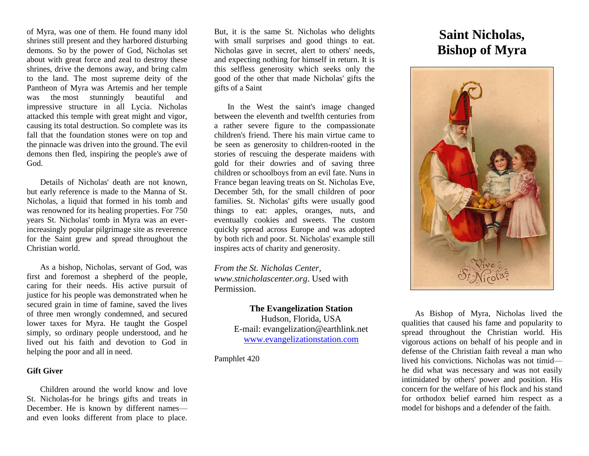of Myra, was one of them. He found many idol shrines still present and they harbored disturbing demons. So by the power of God, Nicholas set about with great force and zeal to destroy these shrines, drive the demons away, and bring calm to the land. The most supreme deity of the Pantheon of Myra was Artemis and her temple was the most stunningly beautiful and impressive structure in all Lycia. Nicholas attacked this temple with great might and vigor, causing its total destruction. So complete was its fall that the foundation stones were on top and the pinnacle was driven into the ground. The evil demons then fled, inspiring the people's awe of God.

Details of Nicholas' death are not known, but early reference is made to the Manna of St. Nicholas, a liquid that formed in his tomb and was renowned for its healing properties. For 750 years St. Nicholas' tomb in Myra was an everincreasingly popular pilgrimage site as reverence for the Saint grew and spread throughout the Christian world.

As a bishop, Nicholas, servant of God, was first and foremost a shepherd of the people, caring for their needs. His active pursuit of justice for his people was demonstrated when he secured grain in time of famine, saved the lives of three men wrongly condemned, and secured lower taxes for Myra. He taught the Gospel simply, so ordinary people understood, and he lived out his faith and devotion to God in helping the poor and all in need.

#### **Gift Giver**

Children around the world know and love St. Nicholas-for he brings gifts and treats in December. He is known by different names and even looks different from place to place.

But, it is the same St. Nicholas who delights with small surprises and good things to eat. Nicholas gave in secret, alert to others' needs, and expecting nothing for himself in return. It is this selfless generosity which seeks only the good of the other that made Nicholas' gifts the gifts of a Saint

In the West the saint's image changed between the eleventh and twelfth centuries from a rather severe figure to the compassionate children's friend. There his main virtue came to be seen as generosity to children-rooted in the stories of rescuing the desperate maidens with gold for their dowries and of saving three children or schoolboys from an evil fate. Nuns in France began leaving treats on St. Nicholas Eve, December 5th, for the small children of poor families. St. Nicholas' gifts were usually good things to eat: apples, oranges, nuts, and eventually cookies and sweets. The custom quickly spread across Europe and was adopted by both rich and poor. St. Nicholas' example still inspires acts of charity and generosity.

*From the St. Nicholas Center, [www.stnicholascenter.org](http://www.stnicholascenter.org/)*. Used with Permission.

#### **The Evangelization Station**

Hudson, Florida, USA E-mail: evangelization@earthlink.net [www.evangelizationstation.com](http://www.pjpiisoe.org/)

Pamphlet 420

# **Saint Nicholas, Bishop of Myra**



As Bishop of Myra, Nicholas lived the qualities that caused his fame and popularity to spread throughout the Christian world. His vigorous actions on behalf of his people and in defense of the Christian faith reveal a man who lived his convictions. Nicholas was not timid he did what was necessary and was not easily intimidated by others' power and position. His concern for the welfare of his flock and his stand for orthodox belief earned him respect as a model for bishops and a defender of the faith.